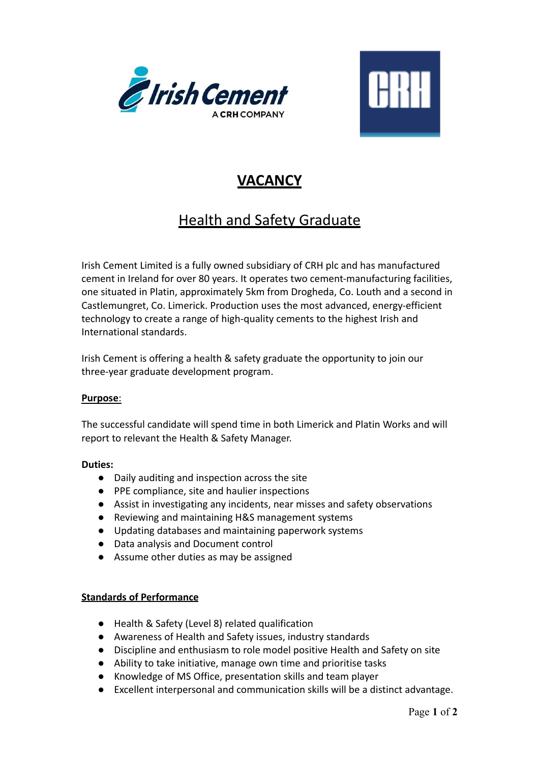



## **VACANCY**

# **Health and Safety Graduate**

Irish Cement Limited is a fully owned subsidiary of CRH plc and has manufactured cement in Ireland for over 80 years. It operates two cement-manufacturing facilities, one situated in Platin, approximately 5km from Drogheda, Co. Louth and a second in Castlemungret, Co. Limerick. Production uses the most advanced, energy-efficient technology to create a range of high-quality cements to the highest Irish and International standards.

Irish Cement is offering a health & safety graduate the opportunity to join our three-year graduate development program.

### **Purpose**:

The successful candidate will spend time in both Limerick and Platin Works and will report to relevant the Health & Safety Manager.

#### **Duties:**

- Daily auditing and inspection across the site
- PPE compliance, site and haulier inspections
- Assist in investigating any incidents, near misses and safety observations
- Reviewing and maintaining H&S management systems
- Updating databases and maintaining paperwork systems
- Data analysis and Document control
- Assume other duties as may be assigned

### **Standards of Performance**

- Health & Safety (Level 8) related qualification
- Awareness of Health and Safety issues, industry standards
- Discipline and enthusiasm to role model positive Health and Safety on site
- Ability to take initiative, manage own time and prioritise tasks
- Knowledge of MS Office, presentation skills and team player
- Excellent interpersonal and communication skills will be a distinct advantage.